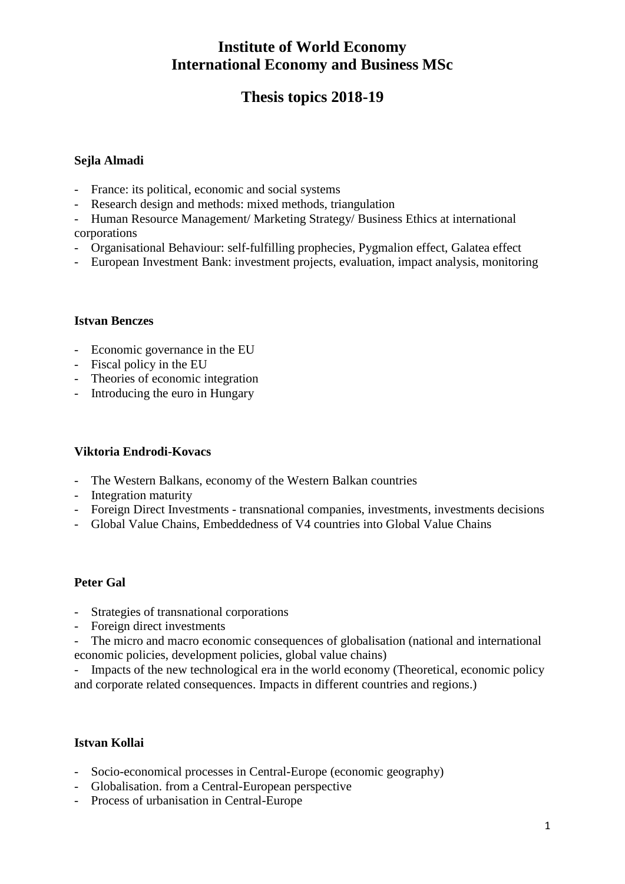# **Thesis topics 2018-19**

#### **Sejla Almadi**

- France: its political, economic and social systems
- Research design and methods: mixed methods, triangulation
- Human Resource Management/ Marketing Strategy/ Business Ethics at international corporations
- Organisational Behaviour: self-fulfilling prophecies, Pygmalion effect, Galatea effect
- European Investment Bank: investment projects, evaluation, impact analysis, monitoring

#### **Istvan Benczes**

- Economic governance in the EU
- Fiscal policy in the EU
- Theories of economic integration
- Introducing the euro in Hungary

### **Viktoria Endrodi-Kovacs**

- The Western Balkans, economy of the Western Balkan countries
- Integration maturity
- Foreign Direct Investments transnational companies, investments, investments decisions
- Global Value Chains, Embeddedness of V4 countries into Global Value Chains

#### **Peter Gal**

- Strategies of transnational corporations
- Foreign direct investments
- The micro and macro economic consequences of globalisation (national and international economic policies, development policies, global value chains)

Impacts of the new technological era in the world economy (Theoretical, economic policy and corporate related consequences. Impacts in different countries and regions.)

### **Istvan Kollai**

- Socio-economical processes in Central-Europe (economic geography)
- Globalisation. from a Central-European perspective
- Process of urbanisation in Central-Europe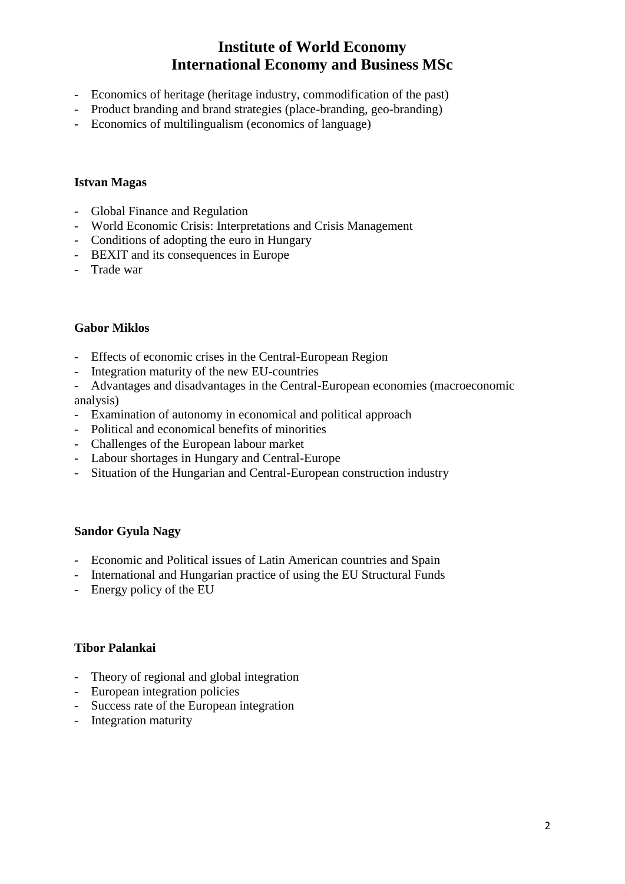- Economics of heritage (heritage industry, commodification of the past)
- Product branding and brand strategies (place-branding, geo-branding)
- Economics of multilingualism (economics of language)

#### **Istvan Magas**

- Global Finance and Regulation
- World Economic Crisis: Interpretations and Crisis Management
- Conditions of adopting the euro in Hungary
- BEXIT and its consequences in Europe
- Trade war

#### **Gabor Miklos**

- Effects of economic crises in the Central-European Region
- Integration maturity of the new EU-countries
- Advantages and disadvantages in the Central-European economies (macroeconomic analysis)
- Examination of autonomy in economical and political approach
- Political and economical benefits of minorities
- Challenges of the European labour market
- Labour shortages in Hungary and Central-Europe
- Situation of the Hungarian and Central-European construction industry

### **Sandor Gyula Nagy**

- Economic and Political issues of Latin American countries and Spain
- International and Hungarian practice of using the EU Structural Funds
- Energy policy of the EU

#### **Tibor Palankai**

- Theory of regional and global integration
- European integration policies
- Success rate of the European integration
- Integration maturity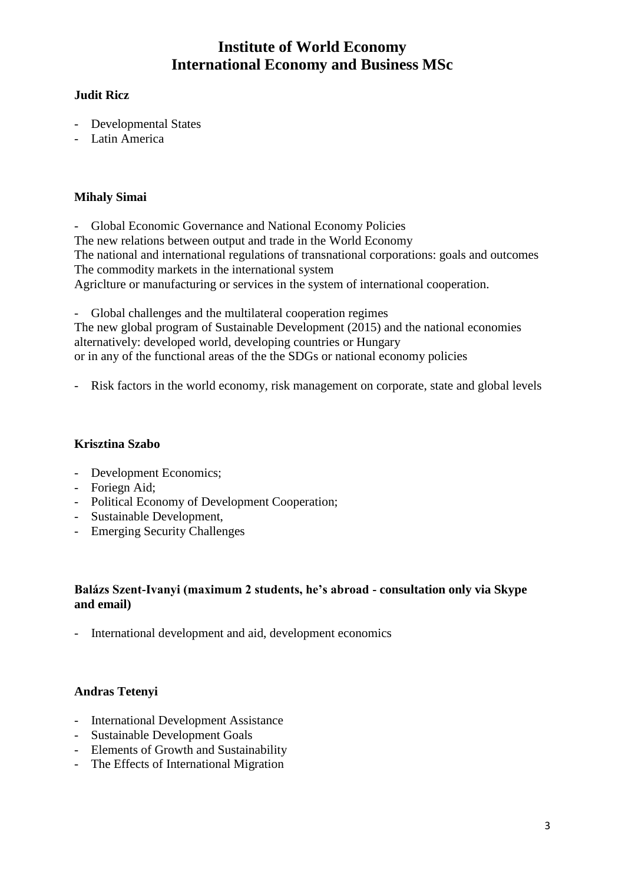### **Judit Ricz**

- Developmental States
- Latin America

### **Mihaly Simai**

- Global Economic Governance and National Economy Policies The new relations between output and trade in the World Economy The national and international regulations of transnational corporations: goals and outcomes The commodity markets in the international system Agriclture or manufacturing or services in the system of international cooperation.

Global challenges and the multilateral cooperation regimes The new global program of Sustainable Development (2015) and the national economies alternatively: developed world, developing countries or Hungary or in any of the functional areas of the the SDGs or national economy policies

Risk factors in the world economy, risk management on corporate, state and global levels

## **Krisztina Szabo**

- Development Economics;
- Foriegn Aid;
- Political Economy of Development Cooperation;
- Sustainable Development,
- Emerging Security Challenges

### **Balázs Szent-Ivanyi (maximum 2 students, he's abroad - consultation only via Skype and email)**

International development and aid, development economics

# **Andras Tetenyi**

- International Development Assistance
- Sustainable Development Goals
- Elements of Growth and Sustainability
- The Effects of International Migration